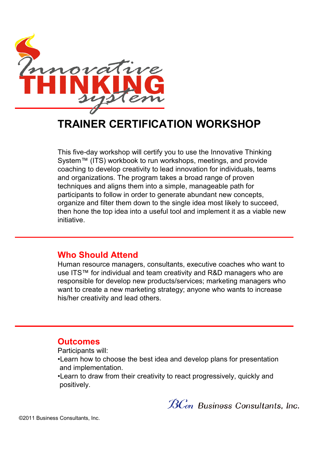

# **TRAINER CERTIFICATION WORKSHOP**

This five-day workshop will certify you to use the Innovative Thinking System™ (ITS) workbook to run workshops, meetings, and provide coaching to develop creativity to lead innovation for individuals, teams and organizations. The program takes a broad range of proven techniques and aligns them into a simple, manageable path for participants to follow in order to generate abundant new concepts, organize and filter them down to the single idea most likely to succeed, then hone the top idea into a useful tool and implement it as a viable new initiative.

### **Who Should Attend**

Human resource managers, consultants, executive coaches who want to use ITS™ for individual and team creativity and R&D managers who are responsible for develop new products/services; marketing managers who want to create a new marketing strategy; anyone who wants to increase his/her creativity and lead others.

#### **Outcomes**

Participants will:

•Learn how to choose the best idea and develop plans for presentation and implementation.

•Learn to draw from their creativity to react progressively, quickly and positively.

 $\mathcal{B}\mathcal{C}$ on Business Consultants, Inc.